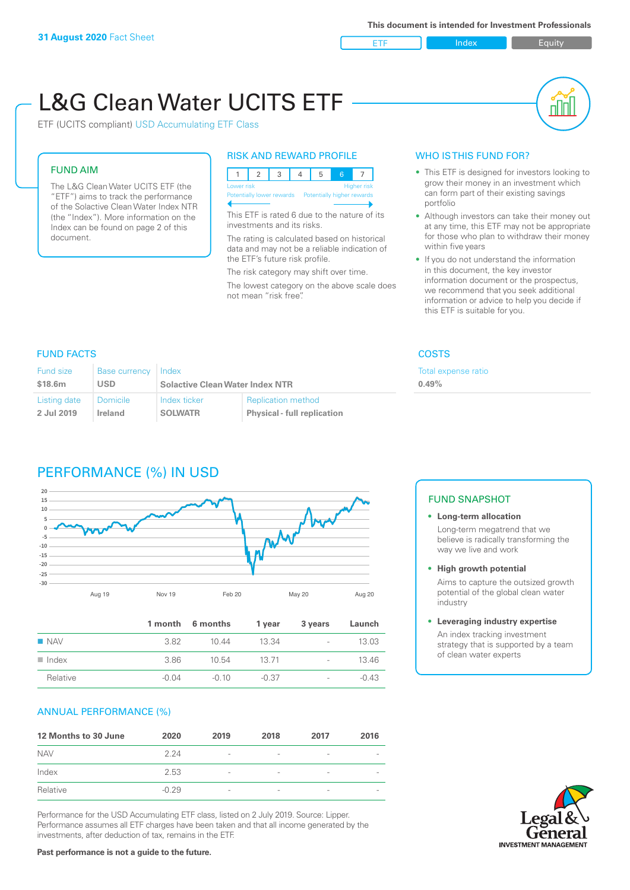ETF Index Buity

nN

# L&G Clean Water UCITS ETF

ETF (UCITS compliant) USD Accumulating ETF Class

### FUND AIM

The L&G Clean Water UCITS ETF (the "ETF") aims to track the performance of the Solactive Clean Water Index NTR (the "Index"). More information on the Index can be found on page 2 of this document.

### RISK AND REWARD PROFILE



This ETF is rated 6 due to the nature of its investments and its risks.

The rating is calculated based on historical data and may not be a reliable indication of the ETF's future risk profile.

The risk category may shift over time. The lowest category on the above scale does not mean "risk free".

### WHO IS THIS FUND FOR?

- This ETF is designed for investors looking to grow their money in an investment which can form part of their existing savings portfolio
- Although investors can take their money out at any time, this ETF may not be appropriate for those who plan to withdraw their money within five years
- If you do not understand the information in this document, the key investor information document or the prospectus, we recommend that you seek additional information or advice to help you decide if this ETF is suitable for you.

expense ratio

### FUND FACTS COSTS

| <b>Fund size</b> | <b>Base currency</b> | Index                                  |                                    | Total e |
|------------------|----------------------|----------------------------------------|------------------------------------|---------|
| \$18.6m          | <b>USD</b>           | <b>Solactive Clean Water Index NTR</b> |                                    | 0.49%   |
| Listing date     | <b>Domicile</b>      | Index ticker                           | <b>Replication method</b>          |         |
| 2 Jul 2019       | Ireland              | <b>SOLWATR</b>                         | <b>Physical - full replication</b> |         |

### PERFORMANCE (%) IN USD



|                      |         | 1 month 6 months | 1 year  | 3 years                  | Launch  |
|----------------------|---------|------------------|---------|--------------------------|---------|
| $\blacksquare$ NAV   | 382     | 10.44            | 13.34   | $\overline{\phantom{0}}$ | 13.03   |
| $\blacksquare$ Index | 3.86    | 10.54            | 13 71   | $\overline{\phantom{0}}$ | 13.46   |
| Relative             | $-0.04$ | $-0.10$          | $-0.37$ | $\overline{\phantom{0}}$ | $-0.43$ |

### ANNUAL PERFORMANCE (%)

| 12 Months to 30 June | 2020    | 2019                     | 2018                     | 2017            | 2016 |
|----------------------|---------|--------------------------|--------------------------|-----------------|------|
| <b>NAV</b>           | 2 24    | $\overline{\phantom{a}}$ |                          | ۰               |      |
| Index                | 2.53    | $\overline{\phantom{a}}$ | $\overline{\phantom{0}}$ | $\qquad \qquad$ |      |
| Relative             | $-0.29$ | $\overline{\phantom{a}}$ |                          | $\overline{a}$  |      |

Performance for the USD Accumulating ETF class, listed on 2 July 2019. Source: Lipper. Performance assumes all ETF charges have been taken and that all income generated by the investments, after deduction of tax, remains in the ETF.

### FUND SNAPSHOT

### **• Long-term allocation** Long-term megatrend that we believe is radically transforming the way we live and work

**• High growth potential** Aims to capture the outsized growth potential of the global clean water industry

### **• Leveraging industry expertise**

An index tracking investment strategy that is supported by a team of clean water experts

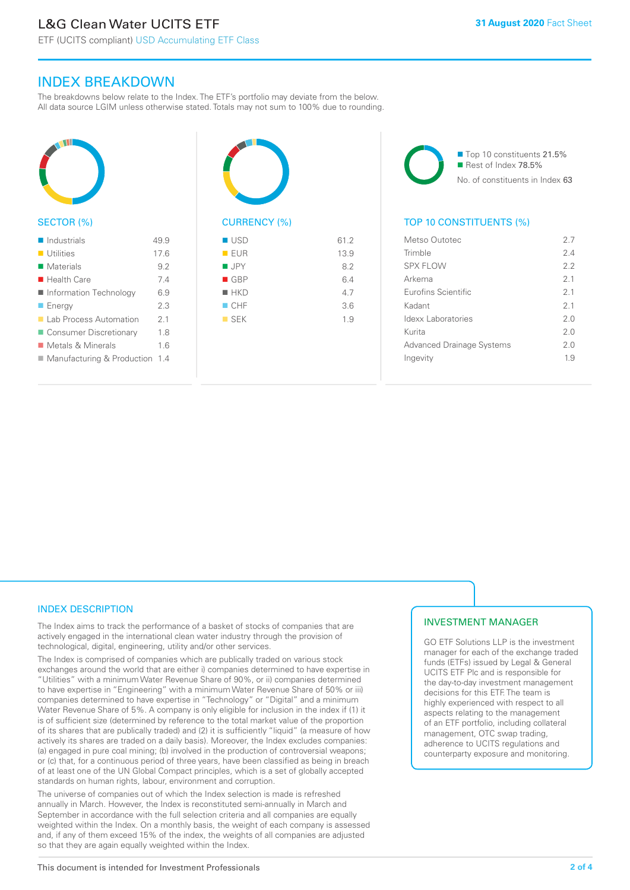ETF (UCITS compliant) USD Accumulating ETF Class

### INDEX BREAKDOWN

The breakdowns below relate to the Index. The ETF's portfolio may deviate from the below. All data source LGIM unless otherwise stated. Totals may not sum to 100% due to rounding.



### SECTOR (%)

| $\blacksquare$ Industrials       | 499  |
|----------------------------------|------|
| <b>Utilities</b>                 | 17.6 |
| Materials                        | 92   |
| $\blacksquare$ Health Care       | 74   |
| ■ Information Technology         | 69   |
| $\blacksquare$ Energy            | 23   |
| ■ Lab Process Automation         | 21   |
| ■ Consumer Discretionary         | 18   |
| ■ Metals & Minerals              | 16   |
| ■ Manufacturing & Production 1.4 |      |
|                                  |      |



# $\blacksquare$  USD 61.2

| EUR                | 13.9 |
|--------------------|------|
| $\blacksquare$ JPY | 8.2  |
| $\blacksquare$ GBP | 6.4  |
| $H$ HKD            | 4.7  |
| $\Box$ CHF         | 3.6  |
| $\blacksquare$ SEK | 1.9  |
|                    |      |
|                    |      |

■ Top 10 constituents 21.5% Rest of Index 78.5% No. of constituents in Index 63

### TOP 10 CONSTITUENTS (%)

| Metso Outotec                    | 27  |
|----------------------------------|-----|
| Trimble                          | 24  |
| SPX FLOW                         | 22  |
| Arkema                           | 21  |
| <b>Eurofins Scientific</b>       | 21  |
| Kadant                           | 21  |
| Idexx Laboratories               | 20  |
| Kurita                           | 2.0 |
| <b>Advanced Drainage Systems</b> | 20  |
| Ingevity                         | 19  |
|                                  |     |

### INDEX DESCRIPTION

The Index aims to track the performance of a basket of stocks of companies that are actively engaged in the international clean water industry through the provision of technological, digital, engineering, utility and/or other services.

The Index is comprised of companies which are publically traded on various stock exchanges around the world that are either i) companies determined to have expertise in "Utilities" with a minimum Water Revenue Share of 90%, or ii) companies determined to have expertise in "Engineering" with a minimum Water Revenue Share of 50% or iii) companies determined to have expertise in "Technology" or "Digital" and a minimum Water Revenue Share of 5%. A company is only eligible for inclusion in the index if (1) it is of sufficient size (determined by reference to the total market value of the proportion of its shares that are publically traded) and (2) it is sufficiently "liquid" (a measure of how actively its shares are traded on a daily basis). Moreover, the Index excludes companies: (a) engaged in pure coal mining; (b) involved in the production of controversial weapons; or (c) that, for a continuous period of three years, have been classified as being in breach of at least one of the UN Global Compact principles, which is a set of globally accepted standards on human rights, labour, environment and corruption.

The universe of companies out of which the Index selection is made is refreshed annually in March. However, the Index is reconstituted semi-annually in March and September in accordance with the full selection criteria and all companies are equally weighted within the Index. On a monthly basis, the weight of each company is assessed and, if any of them exceed 15% of the index, the weights of all companies are adjusted so that they are again equally weighted within the Index.

### INVESTMENT MANAGER

GO ETF Solutions LLP is the investment manager for each of the exchange traded funds (ETFs) issued by Legal & General UCITS ETF Plc and is responsible for the day-to-day investment management decisions for this ETF. The team is highly experienced with respect to all aspects relating to the management of an ETF portfolio, including collateral management, OTC swap trading, adherence to UCITS regulations and counterparty exposure and monitoring.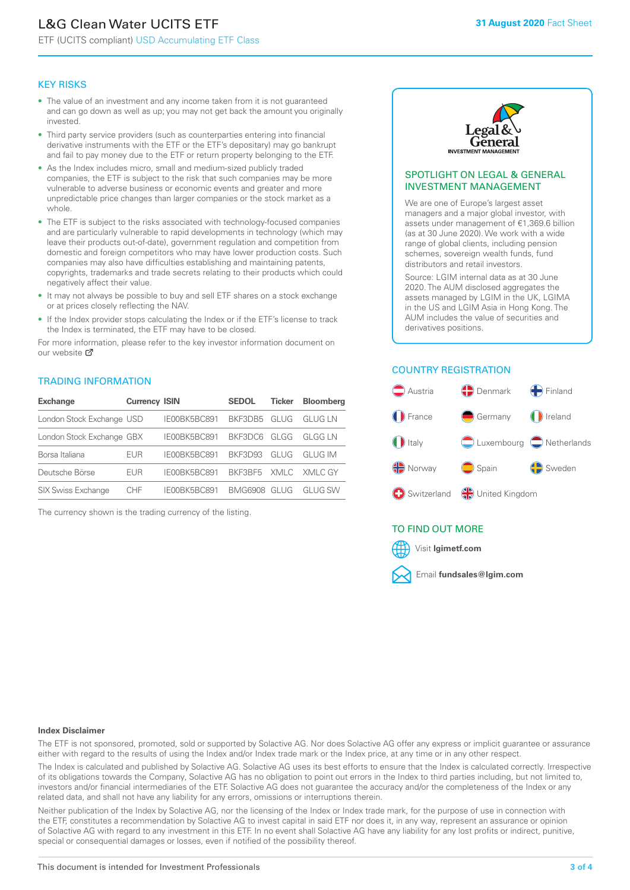## L&G Clean Water UCITS ETF

ETF (UCITS compliant) USD Accumulating ETF Class

### KEY RISKS

- The value of an investment and any income taken from it is not guaranteed and can go down as well as up; you may not get back the amount you originally invested.
- Third party service providers (such as counterparties entering into financial derivative instruments with the ETF or the ETF's depositary) may go bankrupt and fail to pay money due to the ETF or return property belonging to the ETF.
- As the Index includes micro, small and medium-sized publicly traded companies, the ETF is subject to the risk that such companies may be more vulnerable to adverse business or economic events and greater and more unpredictable price changes than larger companies or the stock market as a whole.
- The ETF is subject to the risks associated with technology-focused companies and are particularly vulnerable to rapid developments in technology (which may leave their products out-of-date), government regulation and competition from domestic and foreign competitors who may have lower production costs. Such companies may also have difficulties establishing and maintaining patents, copyrights, trademarks and trade secrets relating to their products which could negatively affect their value.
- It may not always be possible to buy and sell ETF shares on a stock exchange or at prices closely reflecting the NAV.
- If the Index provider stops calculating the Index or if the ETF's license to track the Index is terminated, the ETF may have to be closed.

For more information, please refer to the key investor information document on our website Ø

### TRADING INFORMATION

| <b>Exchange</b>           | <b>Currency ISIN</b> |              | <b>SEDOL</b>   | <b>Ticker</b> | <b>Bloomberg</b> |
|---------------------------|----------------------|--------------|----------------|---------------|------------------|
| London Stock Exchange USD |                      | IE00BK5BC891 | BKF3DB5        | GLUG          | <b>GLUG LN</b>   |
| London Stock Exchange GBX |                      | IE00BK5BC891 | BKF3DC6        | GLGG          | GI GG I N        |
| Borsa Italiana            | EUR                  | IE00BK5BC891 | <b>BKE3D93</b> | GLUG          | GI UG IM         |
| Deutsche Börse            | EUR                  | IE00BK5BC891 | BKF3BF5        |               | XMLC XMLC GY     |
| <b>SIX Swiss Exchange</b> | CHE                  | IF00BK5BC891 | BMG6908        | GI UG         | GI UG SW         |

The currency shown is the trading currency of the listing.



### SPOTLIGHT ON LEGAL & GENERAL INVESTMENT MANAGEMENT

We are one of Europe's largest asset managers and a major global investor, with assets under management of €1,369.6 billion (as at 30 June 2020). We work with a wide range of global clients, including pension schemes, sovereign wealth funds, fund distributors and retail investors.

Source: LGIM internal data as at 30 June 2020. The AUM disclosed aggregates the assets managed by LGIM in the UK, LGIMA in the US and LGIM Asia in Hong Kong. The AUM includes the value of securities and derivatives positions.

### COUNTRY REGISTRATION



### TO FIND OUT MORE



### **Index Disclaimer**

The ETF is not sponsored, promoted, sold or supported by Solactive AG. Nor does Solactive AG offer any express or implicit guarantee or assurance either with regard to the results of using the Index and/or Index trade mark or the Index price, at any time or in any other respect.

The Index is calculated and published by Solactive AG. Solactive AG uses its best efforts to ensure that the Index is calculated correctly. Irrespective of its obligations towards the Company, Solactive AG has no obligation to point out errors in the Index to third parties including, but not limited to, investors and/or financial intermediaries of the ETF. Solactive AG does not guarantee the accuracy and/or the completeness of the Index or any related data, and shall not have any liability for any errors, omissions or interruptions therein.

Neither publication of the Index by Solactive AG, nor the licensing of the Index or Index trade mark, for the purpose of use in connection with the ETF, constitutes a recommendation by Solactive AG to invest capital in said ETF nor does it, in any way, represent an assurance or opinion of Solactive AG with regard to any investment in this ETF. In no event shall Solactive AG have any liability for any lost profits or indirect, punitive, special or consequential damages or losses, even if notified of the possibility thereof.